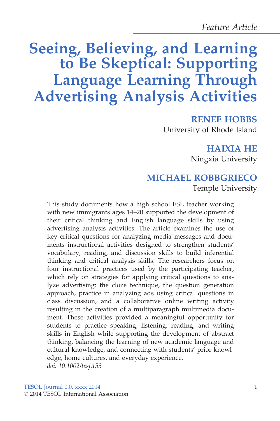# Seeing, Believing, and Learning to Be Skeptical: Supporting Language Learning Through Advertising Analysis Activities

RENEE HOBBS University of Rhode Island

HAIXIA HE

Ningxia University

# MICHAEL ROBBGRIECO

Temple University

This study documents how a high school ESL teacher working with new immigrants ages 14–20 supported the development of their critical thinking and English language skills by using advertising analysis activities. The article examines the use of key critical questions for analyzing media messages and documents instructional activities designed to strengthen students' vocabulary, reading, and discussion skills to build inferential thinking and critical analysis skills. The researchers focus on four instructional practices used by the participating teacher, which rely on strategies for applying critical questions to analyze advertising: the cloze technique, the question generation approach, practice in analyzing ads using critical questions in class discussion, and a collaborative online writing activity resulting in the creation of a multiparagraph multimedia document. These activities provided a meaningful opportunity for students to practice speaking, listening, reading, and writing skills in English while supporting the development of abstract thinking, balancing the learning of new academic language and cultural knowledge, and connecting with students' prior knowledge, home cultures, and everyday experience. doi: 10.1002/tesj.153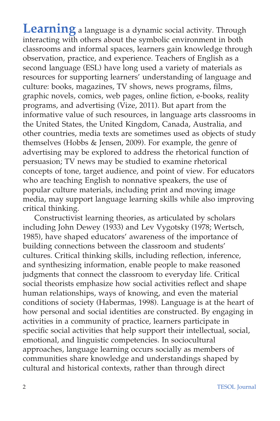Learning a language is a dynamic social activity. Through interacting with others about the symbolic environment in both classrooms and informal spaces, learners gain knowledge through observation, practice, and experience. Teachers of English as a second language (ESL) have long used a variety of materials as resources for supporting learners' understanding of language and culture: books, magazines, TV shows, news programs, films, graphic novels, comics, web pages, online fiction, e-books, reality programs, and advertising (Vize, 2011). But apart from the informative value of such resources, in language arts classrooms in the United States, the United Kingdom, Canada, Australia, and other countries, media texts are sometimes used as objects of study themselves (Hobbs & Jensen, 2009). For example, the genre of advertising may be explored to address the rhetorical function of persuasion; TV news may be studied to examine rhetorical concepts of tone, target audience, and point of view. For educators who are teaching English to nonnative speakers, the use of popular culture materials, including print and moving image media, may support language learning skills while also improving critical thinking.

Constructivist learning theories, as articulated by scholars including John Dewey (1933) and Lev Vygotsky (1978; Wertsch, 1985), have shaped educators' awareness of the importance of building connections between the classroom and students' cultures. Critical thinking skills, including reflection, inference, and synthesizing information, enable people to make reasoned judgments that connect the classroom to everyday life. Critical social theorists emphasize how social activities reflect and shape human relationships, ways of knowing, and even the material conditions of society (Habermas, 1998). Language is at the heart of how personal and social identities are constructed. By engaging in activities in a community of practice, learners participate in specific social activities that help support their intellectual, social, emotional, and linguistic competencies. In sociocultural approaches, language learning occurs socially as members of communities share knowledge and understandings shaped by cultural and historical contexts, rather than through direct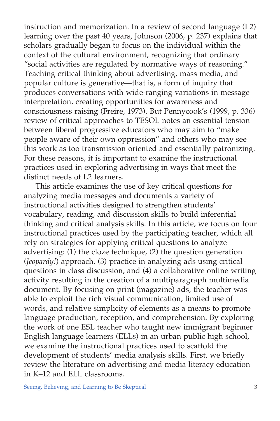instruction and memorization. In a review of second language (L2) learning over the past 40 years, Johnson (2006, p. 237) explains that scholars gradually began to focus on the individual within the context of the cultural environment, recognizing that ordinary "social activities are regulated by normative ways of reasoning." Teaching critical thinking about advertising, mass media, and popular culture is generative—that is, a form of inquiry that produces conversations with wide-ranging variations in message interpretation, creating opportunities for awareness and consciousness raising (Freire, 1973). But Pennycook's (1999, p. 336) review of critical approaches to TESOL notes an essential tension between liberal progressive educators who may aim to "make people aware of their own oppression" and others who may see this work as too transmission oriented and essentially patronizing. For these reasons, it is important to examine the instructional practices used in exploring advertising in ways that meet the distinct needs of L2 learners.

This article examines the use of key critical questions for analyzing media messages and documents a variety of instructional activities designed to strengthen students' vocabulary, reading, and discussion skills to build inferential thinking and critical analysis skills. In this article, we focus on four instructional practices used by the participating teacher, which all rely on strategies for applying critical questions to analyze advertising: (1) the cloze technique, (2) the question generation (Jeopardy!) approach, (3) practice in analyzing ads using critical questions in class discussion, and (4) a collaborative online writing activity resulting in the creation of a multiparagraph multimedia document. By focusing on print (magazine) ads, the teacher was able to exploit the rich visual communication, limited use of words, and relative simplicity of elements as a means to promote language production, reception, and comprehension. By exploring the work of one ESL teacher who taught new immigrant beginner English language learners (ELLs) in an urban public high school, we examine the instructional practices used to scaffold the development of students' media analysis skills. First, we briefly review the literature on advertising and media literacy education in K–12 and ELL classrooms.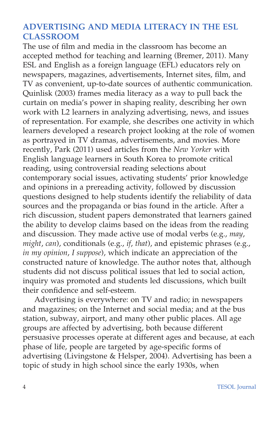# ADVERTISING AND MEDIA LITERACY IN THE ESL CLASSROOM

The use of film and media in the classroom has become an accepted method for teaching and learning (Bremer, 2011). Many ESL and English as a foreign language (EFL) educators rely on newspapers, magazines, advertisements, Internet sites, film, and TV as convenient, up-to-date sources of authentic communication. Quinlisk (2003) frames media literacy as a way to pull back the curtain on media's power in shaping reality, describing her own work with L2 learners in analyzing advertising, news, and issues of representation. For example, she describes one activity in which learners developed a research project looking at the role of women as portrayed in TV dramas, advertisements, and movies. More recently, Park (2011) used articles from the New Yorker with English language learners in South Korea to promote critical reading, using controversial reading selections about contemporary social issues, activating students' prior knowledge and opinions in a prereading activity, followed by discussion questions designed to help students identify the reliability of data sources and the propaganda or bias found in the article. After a rich discussion, student papers demonstrated that learners gained the ability to develop claims based on the ideas from the reading and discussion. They made active use of modal verbs (e.g., may, might, can), conditionals (e.g., if, that), and epistemic phrases (e.g., in my opinion, I suppose), which indicate an appreciation of the constructed nature of knowledge. The author notes that, although students did not discuss political issues that led to social action, inquiry was promoted and students led discussions, which built their confidence and self-esteem.

Advertising is everywhere: on TV and radio; in newspapers and magazines; on the Internet and social media; and at the bus station, subway, airport, and many other public places. All age groups are affected by advertising, both because different persuasive processes operate at different ages and because, at each phase of life, people are targeted by age-specific forms of advertising (Livingstone & Helsper, 2004). Advertising has been a topic of study in high school since the early 1930s, when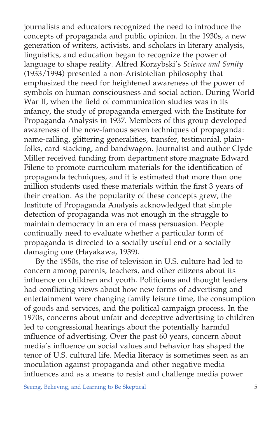journalists and educators recognized the need to introduce the concepts of propaganda and public opinion. In the 1930s, a new generation of writers, activists, and scholars in literary analysis, linguistics, and education began to recognize the power of language to shape reality. Alfred Korzybski's Science and Sanity (1933/1994) presented a non-Aristotelian philosophy that emphasized the need for heightened awareness of the power of symbols on human consciousness and social action. During World War II, when the field of communication studies was in its infancy, the study of propaganda emerged with the Institute for Propaganda Analysis in 1937. Members of this group developed awareness of the now-famous seven techniques of propaganda: name-calling, glittering generalities, transfer, testimonial, plainfolks, card-stacking, and bandwagon. Journalist and author Clyde Miller received funding from department store magnate Edward Filene to promote curriculum materials for the identification of propaganda techniques, and it is estimated that more than one million students used these materials within the first 3 years of their creation. As the popularity of these concepts grew, the Institute of Propaganda Analysis acknowledged that simple detection of propaganda was not enough in the struggle to maintain democracy in an era of mass persuasion. People continually need to evaluate whether a particular form of propaganda is directed to a socially useful end or a socially damaging one (Hayakawa, 1939).

By the 1950s, the rise of television in U.S. culture had led to concern among parents, teachers, and other citizens about its influence on children and youth. Politicians and thought leaders had conflicting views about how new forms of advertising and entertainment were changing family leisure time, the consumption of goods and services, and the political campaign process. In the 1970s, concerns about unfair and deceptive advertising to children led to congressional hearings about the potentially harmful influence of advertising. Over the past 60 years, concern about media's influence on social values and behavior has shaped the tenor of U.S. cultural life. Media literacy is sometimes seen as an inoculation against propaganda and other negative media influences and as a means to resist and challenge media power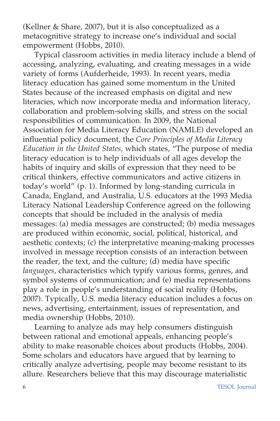(Kellner & Share, 2007), but it is also conceptualized as a metacognitive strategy to increase one's individual and social empowerment (Hobbs, 2010).

Typical classroom activities in media literacy include a blend of accessing, analyzing, evaluating, and creating messages in a wide variety of forms (Aufderheide, 1993). In recent years, media literacy education has gained some momentum in the United States because of the increased emphasis on digital and new literacies, which now incorporate media and information literacy, collaboration and problem-solving skills, and stress on the social responsibilities of communication. In 2009, the National Association for Media Literacy Education (NAMLE) developed an influential policy document, the Core Principles of Media Literacy Education in the United States, which states, "The purpose of media literacy education is to help individuals of all ages develop the habits of inquiry and skills of expression that they need to be critical thinkers, effective communicators and active citizens in today's world" (p. 1). Informed by long-standing curricula in Canada, England, and Australia, U.S. educators at the 1993 Media Literacy National Leadership Conference agreed on the following concepts that should be included in the analysis of media messages: (a) media messages are constructed; (b) media messages are produced within economic, social, political, historical, and aesthetic contexts; (c) the interpretative meaning-making processes involved in message reception consists of an interaction between the reader, the text, and the culture; (d) media have specific languages, characteristics which typify various forms, genres, and symbol systems of communication; and (e) media representations play a role in people's understanding of social reality (Hobbs, 2007). Typically, U.S. media literacy education includes a focus on news, advertising, entertainment, issues of representation, and media ownership (Hobbs, 2010).

Learning to analyze ads may help consumers distinguish between rational and emotional appeals, enhancing people's ability to make reasonable choices about products (Hobbs, 2004). Some scholars and educators have argued that by learning to critically analyze advertising, people may become resistant to its allure. Researchers believe that this may discourage materialistic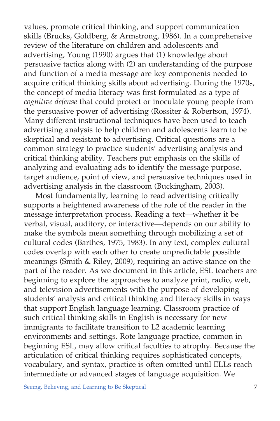values, promote critical thinking, and support communication skills (Brucks, Goldberg, & Armstrong, 1986). In a comprehensive review of the literature on children and adolescents and advertising, Young (1990) argues that (1) knowledge about persuasive tactics along with (2) an understanding of the purpose and function of a media message are key components needed to acquire critical thinking skills about advertising. During the 1970s, the concept of media literacy was first formulated as a type of cognitive defense that could protect or inoculate young people from the persuasive power of advertising (Rossiter & Robertson, 1974). Many different instructional techniques have been used to teach advertising analysis to help children and adolescents learn to be skeptical and resistant to advertising. Critical questions are a common strategy to practice students' advertising analysis and critical thinking ability. Teachers put emphasis on the skills of analyzing and evaluating ads to identify the message purpose, target audience, point of view, and persuasive techniques used in advertising analysis in the classroom (Buckingham, 2003).

Most fundamentally, learning to read advertising critically supports a heightened awareness of the role of the reader in the message interpretation process. Reading a text—whether it be verbal, visual, auditory, or interactive—depends on our ability to make the symbols mean something through mobilizing a set of cultural codes (Barthes, 1975, 1983). In any text, complex cultural codes overlap with each other to create unpredictable possible meanings (Smith & Riley, 2009), requiring an active stance on the part of the reader. As we document in this article, ESL teachers are beginning to explore the approaches to analyze print, radio, web, and television advertisements with the purpose of developing students' analysis and critical thinking and literacy skills in ways that support English language learning. Classroom practice of such critical thinking skills in English is necessary for new immigrants to facilitate transition to L2 academic learning environments and settings. Rote language practice, common in beginning ESL, may allow critical faculties to atrophy. Because the articulation of critical thinking requires sophisticated concepts, vocabulary, and syntax, practice is often omitted until ELLs reach intermediate or advanced stages of language acquisition. We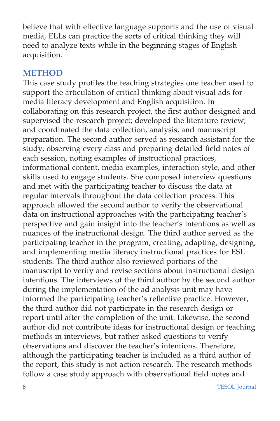believe that with effective language supports and the use of visual media, ELLs can practice the sorts of critical thinking they will need to analyze texts while in the beginning stages of English acquisition.

# METHOD

This case study profiles the teaching strategies one teacher used to support the articulation of critical thinking about visual ads for media literacy development and English acquisition. In collaborating on this research project, the first author designed and supervised the research project; developed the literature review; and coordinated the data collection, analysis, and manuscript preparation. The second author served as research assistant for the study, observing every class and preparing detailed field notes of each session, noting examples of instructional practices, informational content, media examples, interaction style, and other skills used to engage students. She composed interview questions and met with the participating teacher to discuss the data at regular intervals throughout the data collection process. This approach allowed the second author to verify the observational data on instructional approaches with the participating teacher's perspective and gain insight into the teacher's intentions as well as nuances of the instructional design. The third author served as the participating teacher in the program, creating, adapting, designing, and implementing media literacy instructional practices for ESL students. The third author also reviewed portions of the manuscript to verify and revise sections about instructional design intentions. The interviews of the third author by the second author during the implementation of the ad analysis unit may have informed the participating teacher's reflective practice. However, the third author did not participate in the research design or report until after the completion of the unit. Likewise, the second author did not contribute ideas for instructional design or teaching methods in interviews, but rather asked questions to verify observations and discover the teacher's intentions. Therefore, although the participating teacher is included as a third author of the report, this study is not action research. The research methods follow a case study approach with observational field notes and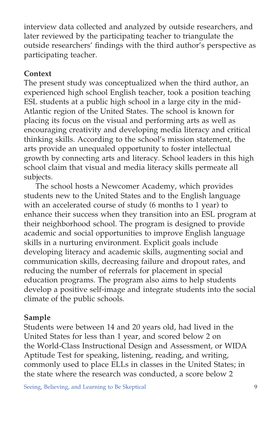interview data collected and analyzed by outside researchers, and later reviewed by the participating teacher to triangulate the outside researchers' findings with the third author's perspective as participating teacher.

#### **Context**

The present study was conceptualized when the third author, an experienced high school English teacher, took a position teaching ESL students at a public high school in a large city in the mid-Atlantic region of the United States. The school is known for placing its focus on the visual and performing arts as well as encouraging creativity and developing media literacy and critical thinking skills. According to the school's mission statement, the arts provide an unequaled opportunity to foster intellectual growth by connecting arts and literacy. School leaders in this high school claim that visual and media literacy skills permeate all subjects.

The school hosts a Newcomer Academy, which provides students new to the United States and to the English language with an accelerated course of study (6 months to 1 year) to enhance their success when they transition into an ESL program at their neighborhood school. The program is designed to provide academic and social opportunities to improve English language skills in a nurturing environment. Explicit goals include developing literacy and academic skills, augmenting social and communication skills, decreasing failure and dropout rates, and reducing the number of referrals for placement in special education programs. The program also aims to help students develop a positive self-image and integrate students into the social climate of the public schools.

#### Sample

Students were between 14 and 20 years old, had lived in the United States for less than 1 year, and scored below 2 on the World-Class Instructional Design and Assessment, or WIDA Aptitude Test for speaking, listening, reading, and writing, commonly used to place ELLs in classes in the United States; in the state where the research was conducted, a score below 2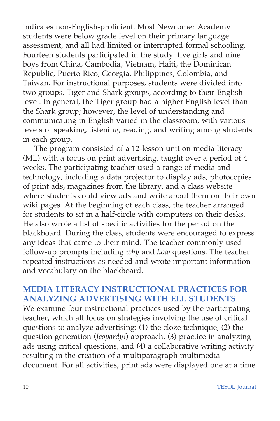indicates non-English-proficient. Most Newcomer Academy students were below grade level on their primary language assessment, and all had limited or interrupted formal schooling. Fourteen students participated in the study: five girls and nine boys from China, Cambodia, Vietnam, Haiti, the Dominican Republic, Puerto Rico, Georgia, Philippines, Colombia, and Taiwan. For instructional purposes, students were divided into two groups, Tiger and Shark groups, according to their English level. In general, the Tiger group had a higher English level than the Shark group; however, the level of understanding and communicating in English varied in the classroom, with various levels of speaking, listening, reading, and writing among students in each group.

The program consisted of a 12-lesson unit on media literacy (ML) with a focus on print advertising, taught over a period of 4 weeks. The participating teacher used a range of media and technology, including a data projector to display ads, photocopies of print ads, magazines from the library, and a class website where students could view ads and write about them on their own wiki pages. At the beginning of each class, the teacher arranged for students to sit in a half-circle with computers on their desks. He also wrote a list of specific activities for the period on the blackboard. During the class, students were encouraged to express any ideas that came to their mind. The teacher commonly used follow-up prompts including why and how questions. The teacher repeated instructions as needed and wrote important information and vocabulary on the blackboard.

# MEDIA LITERACY INSTRUCTIONAL PRACTICES FOR ANALYZING ADVERTISING WITH ELL STUDENTS

We examine four instructional practices used by the participating teacher, which all focus on strategies involving the use of critical questions to analyze advertising: (1) the cloze technique, (2) the question generation (Jeopardy!) approach, (3) practice in analyzing ads using critical questions, and (4) a collaborative writing activity resulting in the creation of a multiparagraph multimedia document. For all activities, print ads were displayed one at a time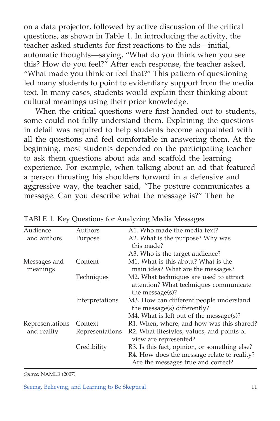on a data projector, followed by active discussion of the critical questions, as shown in Table 1. In introducing the activity, the teacher asked students for first reactions to the ads—initial, automatic thoughts—saying, "What do you think when you see this? How do you feel?" After each response, the teacher asked, "What made you think or feel that?" This pattern of questioning led many students to point to evidentiary support from the media text. In many cases, students would explain their thinking about cultural meanings using their prior knowledge.

When the critical questions were first handed out to students, some could not fully understand them. Explaining the questions in detail was required to help students become acquainted with all the questions and feel comfortable in answering them. At the beginning, most students depended on the participating teacher to ask them questions about ads and scaffold the learning experience. For example, when talking about an ad that featured a person thrusting his shoulders forward in a defensive and aggressive way, the teacher said, "The posture communicates a message. Can you describe what the message is?" Then he

| Audience        | Authors         | A1. Who made the media text?                                        |  |
|-----------------|-----------------|---------------------------------------------------------------------|--|
| and authors     | Purpose         | A2. What is the purpose? Why was                                    |  |
|                 |                 | this made?                                                          |  |
|                 |                 | A3. Who is the target audience?                                     |  |
| Messages and    | Content         | M1. What is this about? What is the                                 |  |
| meanings        |                 | main idea? What are the messages?                                   |  |
|                 | Techniques      | M2. What techniques are used to attract                             |  |
|                 |                 | attention? What techniques communicate                              |  |
|                 |                 | the message $(s)$ ?                                                 |  |
|                 | Interpretations | M3. How can different people understand                             |  |
|                 |                 | the message(s) differently?                                         |  |
|                 |                 | M4. What is left out of the message(s)?                             |  |
| Representations | Context         | R1. When, where, and how was this shared?                           |  |
| and reality     | Representations | R2. What lifestyles, values, and points of<br>view are represented? |  |
|                 | Credibility     | R3. Is this fact, opinion, or something else?                       |  |
|                 |                 | R4. How does the message relate to reality?                         |  |
|                 |                 | Are the messages true and correct?                                  |  |
|                 |                 |                                                                     |  |

TABLE 1. Key Questions for Analyzing Media Messages

Source: NAMLE (2007)

Seeing, Believing, and Learning to Be Skeptical 11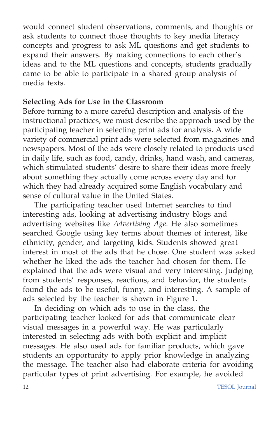would connect student observations, comments, and thoughts or ask students to connect those thoughts to key media literacy concepts and progress to ask ML questions and get students to expand their answers. By making connections to each other's ideas and to the ML questions and concepts, students gradually came to be able to participate in a shared group analysis of media texts.

#### Selecting Ads for Use in the Classroom

Before turning to a more careful description and analysis of the instructional practices, we must describe the approach used by the participating teacher in selecting print ads for analysis. A wide variety of commercial print ads were selected from magazines and newspapers. Most of the ads were closely related to products used in daily life, such as food, candy, drinks, hand wash, and cameras, which stimulated students' desire to share their ideas more freely about something they actually come across every day and for which they had already acquired some English vocabulary and sense of cultural value in the United States.

The participating teacher used Internet searches to find interesting ads, looking at advertising industry blogs and advertising websites like Advertising Age. He also sometimes searched Google using key terms about themes of interest, like ethnicity, gender, and targeting kids. Students showed great interest in most of the ads that he chose. One student was asked whether he liked the ads the teacher had chosen for them. He explained that the ads were visual and very interesting. Judging from students' responses, reactions, and behavior, the students found the ads to be useful, funny, and interesting. A sample of ads selected by the teacher is shown in Figure 1.

In deciding on which ads to use in the class, the participating teacher looked for ads that communicate clear visual messages in a powerful way. He was particularly interested in selecting ads with both explicit and implicit messages. He also used ads for familiar products, which gave students an opportunity to apply prior knowledge in analyzing the message. The teacher also had elaborate criteria for avoiding particular types of print advertising. For example, he avoided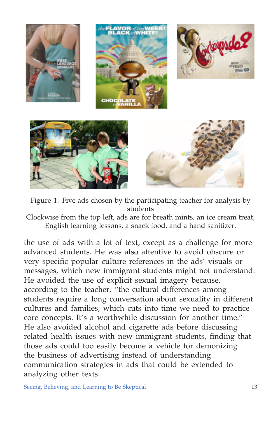

Figure 1. Five ads chosen by the participating teacher for analysis by students

Clockwise from the top left, ads are for breath mints, an ice cream treat, English learning lessons, a snack food, and a hand sanitizer.

the use of ads with a lot of text, except as a challenge for more advanced students. He was also attentive to avoid obscure or very specific popular culture references in the ads' visuals or messages, which new immigrant students might not understand. He avoided the use of explicit sexual imagery because, according to the teacher, "the cultural differences among students require a long conversation about sexuality in different cultures and families, which cuts into time we need to practice core concepts. It's a worthwhile discussion for another time." He also avoided alcohol and cigarette ads before discussing related health issues with new immigrant students, finding that those ads could too easily become a vehicle for demonizing the business of advertising instead of understanding communication strategies in ads that could be extended to analyzing other texts.

Seeing, Believing, and Learning to Be Skeptical 13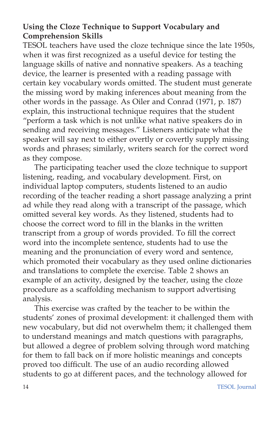#### Using the Cloze Technique to Support Vocabulary and Comprehension Skills

TESOL teachers have used the cloze technique since the late 1950s, when it was first recognized as a useful device for testing the language skills of native and nonnative speakers. As a teaching device, the learner is presented with a reading passage with certain key vocabulary words omitted. The student must generate the missing word by making inferences about meaning from the other words in the passage. As Oiler and Conrad (1971, p. 187) explain, this instructional technique requires that the student "perform a task which is not unlike what native speakers do in sending and receiving messages." Listeners anticipate what the speaker will say next to either overtly or covertly supply missing words and phrases; similarly, writers search for the correct word as they compose.

The participating teacher used the cloze technique to support listening, reading, and vocabulary development. First, on individual laptop computers, students listened to an audio recording of the teacher reading a short passage analyzing a print ad while they read along with a transcript of the passage, which omitted several key words. As they listened, students had to choose the correct word to fill in the blanks in the written transcript from a group of words provided. To fill the correct word into the incomplete sentence, students had to use the meaning and the pronunciation of every word and sentence, which promoted their vocabulary as they used online dictionaries and translations to complete the exercise. Table 2 shows an example of an activity, designed by the teacher, using the cloze procedure as a scaffolding mechanism to support advertising analysis.

This exercise was crafted by the teacher to be within the students' zones of proximal development: it challenged them with new vocabulary, but did not overwhelm them; it challenged them to understand meanings and match questions with paragraphs, but allowed a degree of problem solving through word matching for them to fall back on if more holistic meanings and concepts proved too difficult. The use of an audio recording allowed students to go at different paces, and the technology allowed for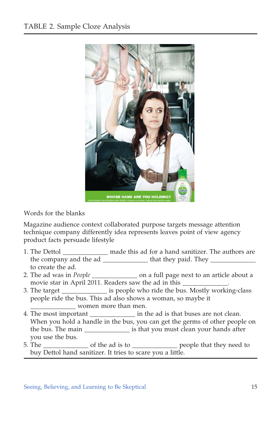

Words for the blanks

Magazine audience context collaborated purpose targets message attention technique company differently idea represents leaves point of view agency product facts persuade lifestyle

- 1. The Dettol \_\_\_\_\_\_\_\_\_\_\_\_\_\_ made this ad for a hand sanitizer. The authors are the company and the ad \_\_\_\_\_\_\_\_\_\_\_\_\_\_\_\_ that they paid. They \_\_\_\_\_\_\_\_\_\_\_\_\_\_\_\_\_\_\_\_ to create the ad.
- 2. The ad was in People \_\_\_\_\_\_\_\_\_\_\_\_\_\_\_ on a full page next to an article about a movie star in April 2011. Readers saw the ad in this \_\_\_\_\_\_\_\_\_\_\_\_\_\_.
- 3. The target is people who ride the bus. Mostly working-class people ride the bus. This ad also shows a woman, so maybe it women more than men.
- 4. The most important in the ad is that buses are not clean. When you hold a handle in the bus, you can get the germs of other people on the bus. The main \_\_\_\_\_\_\_\_\_\_\_\_\_\_ is that you must clean your hands after you use the bus.
- 5. The \_\_\_\_\_\_\_\_\_\_\_\_\_\_ of the ad is to \_\_\_\_\_\_\_\_\_\_\_\_\_\_ people that they need to buy Dettol hand sanitizer. It tries to scare you a little.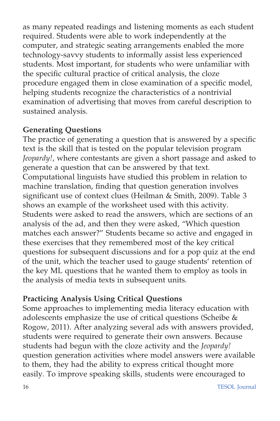as many repeated readings and listening moments as each student required. Students were able to work independently at the computer, and strategic seating arrangements enabled the more technology-savvy students to informally assist less experienced students. Most important, for students who were unfamiliar with the specific cultural practice of critical analysis, the cloze procedure engaged them in close examination of a specific model, helping students recognize the characteristics of a nontrivial examination of advertising that moves from careful description to sustained analysis.

#### Generating Questions

The practice of generating a question that is answered by a specific text is the skill that is tested on the popular television program Jeopardy!, where contestants are given a short passage and asked to generate a question that can be answered by that text. Computational linguists have studied this problem in relation to machine translation, finding that question generation involves significant use of context clues (Heilman & Smith, 2009). Table 3 shows an example of the worksheet used with this activity. Students were asked to read the answers, which are sections of an analysis of the ad, and then they were asked, "Which question matches each answer?" Students became so active and engaged in these exercises that they remembered most of the key critical questions for subsequent discussions and for a pop quiz at the end of the unit, which the teacher used to gauge students' retention of the key ML questions that he wanted them to employ as tools in the analysis of media texts in subsequent units.

# Practicing Analysis Using Critical Questions

Some approaches to implementing media literacy education with adolescents emphasize the use of critical questions (Scheibe & Rogow, 2011). After analyzing several ads with answers provided, students were required to generate their own answers. Because students had begun with the cloze activity and the Jeopardy! question generation activities where model answers were available to them, they had the ability to express critical thought more easily. To improve speaking skills, students were encouraged to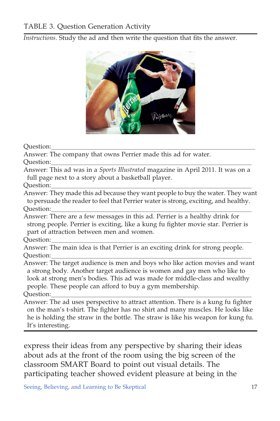#### TABLE 3. Question Generation Activity

Instructions. Study the ad and then write the question that fits the answer.



Question:

Answer: The company that owns Perrier made this ad for water. Question:

Answer: This ad was in a Sports Illustrated magazine in April 2011. It was on a full page next to a story about a basketball player.

Question:\_\_\_\_\_\_\_\_\_\_\_\_\_\_\_\_\_\_\_\_\_\_\_\_\_\_\_\_\_\_\_\_\_\_\_\_\_\_\_\_\_\_\_\_\_\_\_\_\_\_\_\_\_\_\_\_\_\_\_\_\_\_

Answer: They made this ad because they want people to buy the water. They want to persuade the reader to feel that Perrier water is strong, exciting, and healthy. Question:\_\_\_\_\_\_\_\_\_\_\_\_\_\_\_\_\_\_\_\_\_\_\_\_\_\_\_\_\_\_\_\_\_\_\_\_\_\_\_\_\_\_\_\_\_\_\_\_\_\_\_\_\_\_\_\_\_\_\_\_\_\_

Answer: There are a few messages in this ad. Perrier is a healthy drink for strong people. Perrier is exciting, like a kung fu fighter movie star. Perrier is part of attraction between men and women.

Question:\_\_\_\_\_\_\_\_\_\_\_\_\_\_\_\_\_\_\_\_\_\_\_\_\_\_\_\_\_\_\_\_\_\_\_\_\_\_\_\_\_\_\_\_\_\_\_\_\_\_\_\_\_\_\_\_\_\_\_\_\_\_

Answer: The main idea is that Perrier is an exciting drink for strong people. Question:

Answer: The target audience is men and boys who like action movies and want a strong body. Another target audience is women and gay men who like to look at strong men's bodies. This ad was made for middle-class and wealthy people. These people can afford to buy a gym membership. Question:

Answer: The ad uses perspective to attract attention. There is a kung fu fighter on the man's t-shirt. The fighter has no shirt and many muscles. He looks like he is holding the straw in the bottle. The straw is like his weapon for kung fu. It's interesting.

express their ideas from any perspective by sharing their ideas about ads at the front of the room using the big screen of the classroom SMART Board to point out visual details. The participating teacher showed evident pleasure at being in the

Seeing, Believing, and Learning to Be Skeptical 17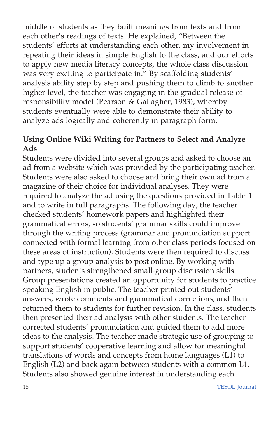middle of students as they built meanings from texts and from each other's readings of texts. He explained, "Between the students' efforts at understanding each other, my involvement in repeating their ideas in simple English to the class, and our efforts to apply new media literacy concepts, the whole class discussion was very exciting to participate in." By scaffolding students' analysis ability step by step and pushing them to climb to another higher level, the teacher was engaging in the gradual release of responsibility model (Pearson & Gallagher, 1983), whereby students eventually were able to demonstrate their ability to analyze ads logically and coherently in paragraph form.

# Using Online Wiki Writing for Partners to Select and Analyze Ads

Students were divided into several groups and asked to choose an ad from a website which was provided by the participating teacher. Students were also asked to choose and bring their own ad from a magazine of their choice for individual analyses. They were required to analyze the ad using the questions provided in Table 1 and to write in full paragraphs. The following day, the teacher checked students' homework papers and highlighted their grammatical errors, so students' grammar skills could improve through the writing process (grammar and pronunciation support connected with formal learning from other class periods focused on these areas of instruction). Students were then required to discuss and type up a group analysis to post online. By working with partners, students strengthened small-group discussion skills. Group presentations created an opportunity for students to practice speaking English in public. The teacher printed out students' answers, wrote comments and grammatical corrections, and then returned them to students for further revision. In the class, students then presented their ad analysis with other students. The teacher corrected students' pronunciation and guided them to add more ideas to the analysis. The teacher made strategic use of grouping to support students' cooperative learning and allow for meaningful translations of words and concepts from home languages (L1) to English (L2) and back again between students with a common L1. Students also showed genuine interest in understanding each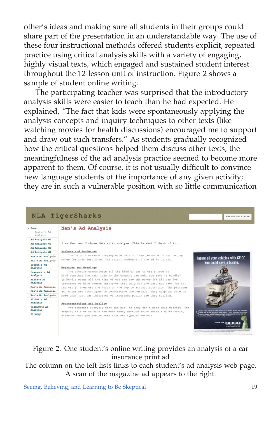other's ideas and making sure all students in their groups could share part of the presentation in an understandable way. The use of these four instructional methods offered students explicit, repeated practice using critical analysis skills with a variety of engaging, highly visual texts, which engaged and sustained student interest throughout the 12-lesson unit of instruction. Figure 2 shows a sample of student online writing.

The participating teacher was surprised that the introductory analysis skills were easier to teach than he had expected. He explained, "The fact that kids were spontaneously applying the analysis concepts and inquiry techniques to other texts (like watching movies for health discussions) encouraged me to support and draw out such transfers." As students gradually recognized how the critical questions helped them discuss other texts, the meaningfulness of the ad analysis practice seemed to become more apparent to them. Of course, it is not usually difficult to convince new language students of the importance of any given activity; they are in such a vulnerable position with so little communication

|                                     | <b>NLA TigerSharks</b>                                                                                                                                | Search this site                                      |
|-------------------------------------|-------------------------------------------------------------------------------------------------------------------------------------------------------|-------------------------------------------------------|
| $-$ Home<br>Justin's Ad<br>Analysis | Nan's Ad Analysis                                                                                                                                     |                                                       |
| Ad Analysis Gl                      |                                                                                                                                                       |                                                       |
| Ad Analysis G2                      | I am Nan. and I chose this ad to analyze. This is what I think of it                                                                                  |                                                       |
| Ad Analysis G3                      |                                                                                                                                                       |                                                       |
| Ad Analysis G4                      | Authors and Audiences                                                                                                                                 |                                                       |
| Ana's Ad Analysis                   | The Geico insurance company made this ad. They persuade driver to pay                                                                                 | Insure all your vehicles with GEICO.                  |
| Hai's Ad Analysis                   | money for this insurance. The target audience of the ad is driver.                                                                                    | You could save a bundle.                              |
| Joseph's Ad<br>Analysis             | Messages and Meanings                                                                                                                                 |                                                       |
| Lawrence's Ad<br>Analysis           | The picture communicate all the kind of car to use a rope to<br>bind together. The main idea is the company can help you save "a bundle"              |                                                       |
| Maria's Ad<br>Analysis              | (a bundle means all the kind of car can pay the money for all car for<br>insurance, we have common insurance that only for one car, not have for all  |                                                       |
| Nan's Ad Analysis                   | the car ). They use the words on the top to attract attention. The pictures                                                                           |                                                       |
| Nia's Ad Analysis                   | and words use techniques to communicate the message. They help you save on                                                                            |                                                       |
| Van's Ad Analysis                   | more than just car insurance of insurance policy are they selling.                                                                                    |                                                       |
| Vichet's Ad<br>Analysis             | Representations and Reality                                                                                                                           |                                                       |
| Vladimy's Ad<br>Analysis            | The students everyday take the bus, so they don't need this message. The<br>company help us to save how much money down.we could enjoy a Multi-Policy | SERTO contentario pos sure un more thus just one inte |
| Sitemap                             | discount when you insure more than one type of vehicle.                                                                                               | the best price on quality coverage for all you        |
|                                     |                                                                                                                                                       | 1-800-442-9251                                        |

#### Figure 2. One student's online writing provides an analysis of a car insurance print ad

The column on the left lists links to each student's ad analysis web page. A scan of the magazine ad appears to the right.

Seeing, Believing, and Learning to Be Skeptical 19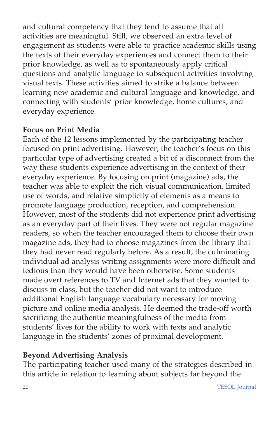and cultural competency that they tend to assume that all activities are meaningful. Still, we observed an extra level of engagement as students were able to practice academic skills using the texts of their everyday experiences and connect them to their prior knowledge, as well as to spontaneously apply critical questions and analytic language to subsequent activities involving visual texts. These activities aimed to strike a balance between learning new academic and cultural language and knowledge, and connecting with students' prior knowledge, home cultures, and everyday experience.

#### Focus on Print Media

Each of the 12 lessons implemented by the participating teacher focused on print advertising. However, the teacher's focus on this particular type of advertising created a bit of a disconnect from the way these students experience advertising in the context of their everyday experience. By focusing on print (magazine) ads, the teacher was able to exploit the rich visual communication, limited use of words, and relative simplicity of elements as a means to promote language production, reception, and comprehension. However, most of the students did not experience print advertising as an everyday part of their lives. They were not regular magazine readers, so when the teacher encouraged them to choose their own magazine ads, they had to choose magazines from the library that they had never read regularly before. As a result, the culminating individual ad analysis writing assignments were more difficult and tedious than they would have been otherwise. Some students made overt references to TV and Internet ads that they wanted to discuss in class, but the teacher did not want to introduce additional English language vocabulary necessary for moving picture and online media analysis. He deemed the trade-off worth sacrificing the authentic meaningfulness of the media from students' lives for the ability to work with texts and analytic language in the students' zones of proximal development.

# Beyond Advertising Analysis

The participating teacher used many of the strategies described in this article in relation to learning about subjects far beyond the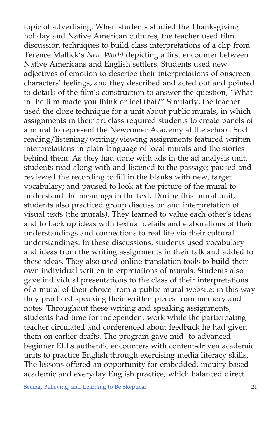topic of advertising. When students studied the Thanksgiving holiday and Native American cultures, the teacher used film discussion techniques to build class interpretations of a clip from Terence Mallick's New World depicting a first encounter between Native Americans and English settlers. Students used new adjectives of emotion to describe their interpretations of onscreen characters' feelings, and they described and acted out and pointed to details of the film's construction to answer the question, "What in the film made you think or feel that?" Similarly, the teacher used the cloze technique for a unit about public murals, in which assignments in their art class required students to create panels of a mural to represent the Newcomer Academy at the school. Such reading/listening/writing/viewing assignments featured written interpretations in plain language of local murals and the stories behind them. As they had done with ads in the ad analysis unit, students read along with and listened to the passage; paused and reviewed the recording to fill in the blanks with new, target vocabulary; and paused to look at the picture of the mural to understand the meanings in the text. During this mural unit, students also practiced group discussion and interpretation of visual texts (the murals). They learned to value each other's ideas and to back up ideas with textual details and elaborations of their understandings and connections to real life via their cultural understandings. In these discussions, students used vocabulary and ideas from the writing assignments in their talk and added to these ideas. They also used online translation tools to build their own individual written interpretations of murals. Students also gave individual presentations to the class of their interpretations of a mural of their choice from a public mural website; in this way they practiced speaking their written pieces from memory and notes. Throughout these writing and speaking assignments, students had time for independent work while the participating teacher circulated and conferenced about feedback he had given them on earlier drafts. The program gave mid- to advancedbeginner ELLs authentic encounters with content-driven academic units to practice English through exercising media literacy skills. The lessons offered an opportunity for embedded, inquiry-based academic and everyday English practice, which balanced direct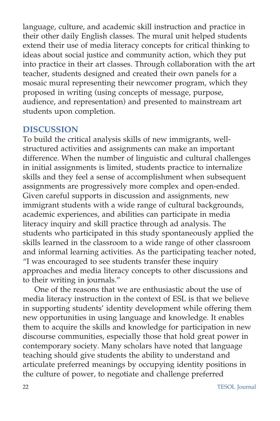language, culture, and academic skill instruction and practice in their other daily English classes. The mural unit helped students extend their use of media literacy concepts for critical thinking to ideas about social justice and community action, which they put into practice in their art classes. Through collaboration with the art teacher, students designed and created their own panels for a mosaic mural representing their newcomer program, which they proposed in writing (using concepts of message, purpose, audience, and representation) and presented to mainstream art students upon completion.

#### DISCUSSION

To build the critical analysis skills of new immigrants, wellstructured activities and assignments can make an important difference. When the number of linguistic and cultural challenges in initial assignments is limited, students practice to internalize skills and they feel a sense of accomplishment when subsequent assignments are progressively more complex and open-ended. Given careful supports in discussion and assignments, new immigrant students with a wide range of cultural backgrounds, academic experiences, and abilities can participate in media literacy inquiry and skill practice through ad analysis. The students who participated in this study spontaneously applied the skills learned in the classroom to a wide range of other classroom and informal learning activities. As the participating teacher noted, "I was encouraged to see students transfer these inquiry approaches and media literacy concepts to other discussions and to their writing in journals."

One of the reasons that we are enthusiastic about the use of media literacy instruction in the context of ESL is that we believe in supporting students' identity development while offering them new opportunities in using language and knowledge. It enables them to acquire the skills and knowledge for participation in new discourse communities, especially those that hold great power in contemporary society. Many scholars have noted that language teaching should give students the ability to understand and articulate preferred meanings by occupying identity positions in the culture of power, to negotiate and challenge preferred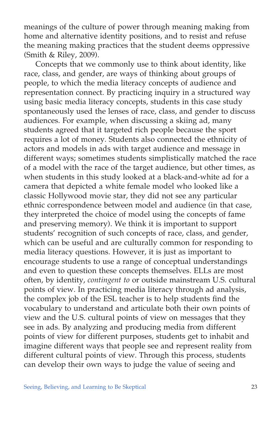meanings of the culture of power through meaning making from home and alternative identity positions, and to resist and refuse the meaning making practices that the student deems oppressive (Smith & Riley, 2009).

Concepts that we commonly use to think about identity, like race, class, and gender, are ways of thinking about groups of people, to which the media literacy concepts of audience and representation connect. By practicing inquiry in a structured way using basic media literacy concepts, students in this case study spontaneously used the lenses of race, class, and gender to discuss audiences. For example, when discussing a skiing ad, many students agreed that it targeted rich people because the sport requires a lot of money. Students also connected the ethnicity of actors and models in ads with target audience and message in different ways; sometimes students simplistically matched the race of a model with the race of the target audience, but other times, as when students in this study looked at a black-and-white ad for a camera that depicted a white female model who looked like a classic Hollywood movie star, they did not see any particular ethnic correspondence between model and audience (in that case, they interpreted the choice of model using the concepts of fame and preserving memory). We think it is important to support students' recognition of such concepts of race, class, and gender, which can be useful and are culturally common for responding to media literacy questions. However, it is just as important to encourage students to use a range of conceptual understandings and even to question these concepts themselves. ELLs are most often, by identity, contingent to or outside mainstream U.S. cultural points of view. In practicing media literacy through ad analysis, the complex job of the ESL teacher is to help students find the vocabulary to understand and articulate both their own points of view and the U.S. cultural points of view on messages that they see in ads. By analyzing and producing media from different points of view for different purposes, students get to inhabit and imagine different ways that people see and represent reality from different cultural points of view. Through this process, students can develop their own ways to judge the value of seeing and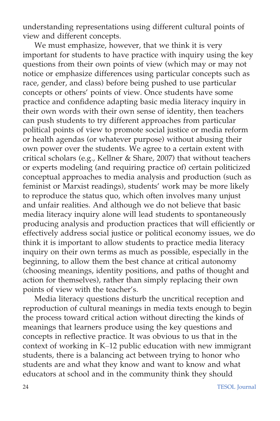understanding representations using different cultural points of view and different concepts.

We must emphasize, however, that we think it is very important for students to have practice with inquiry using the key questions from their own points of view (which may or may not notice or emphasize differences using particular concepts such as race, gender, and class) before being pushed to use particular concepts or others' points of view. Once students have some practice and confidence adapting basic media literacy inquiry in their own words with their own sense of identity, then teachers can push students to try different approaches from particular political points of view to promote social justice or media reform or health agendas (or whatever purpose) without abusing their own power over the students. We agree to a certain extent with critical scholars (e.g., Kellner & Share, 2007) that without teachers or experts modeling (and requiring practice of) certain politicized conceptual approaches to media analysis and production (such as feminist or Marxist readings), students' work may be more likely to reproduce the status quo, which often involves many unjust and unfair realities. And although we do not believe that basic media literacy inquiry alone will lead students to spontaneously producing analysis and production practices that will efficiently or effectively address social justice or political economy issues, we do think it is important to allow students to practice media literacy inquiry on their own terms as much as possible, especially in the beginning, to allow them the best chance at critical autonomy (choosing meanings, identity positions, and paths of thought and action for themselves), rather than simply replacing their own points of view with the teacher's.

Media literacy questions disturb the uncritical reception and reproduction of cultural meanings in media texts enough to begin the process toward critical action without directing the kinds of meanings that learners produce using the key questions and concepts in reflective practice. It was obvious to us that in the context of working in K–12 public education with new immigrant students, there is a balancing act between trying to honor who students are and what they know and want to know and what educators at school and in the community think they should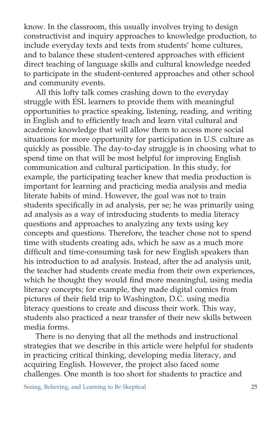know. In the classroom, this usually involves trying to design constructivist and inquiry approaches to knowledge production, to include everyday texts and texts from students' home cultures, and to balance these student-centered approaches with efficient direct teaching of language skills and cultural knowledge needed to participate in the student-centered approaches and other school and community events.

All this lofty talk comes crashing down to the everyday struggle with ESL learners to provide them with meaningful opportunities to practice speaking, listening, reading, and writing in English and to efficiently teach and learn vital cultural and academic knowledge that will allow them to access more social situations for more opportunity for participation in U.S. culture as quickly as possible. The day-to-day struggle is in choosing what to spend time on that will be most helpful for improving English communication and cultural participation. In this study, for example, the participating teacher knew that media production is important for learning and practicing media analysis and media literate habits of mind. However, the goal was not to train students specifically in ad analysis, per se; he was primarily using ad analysis as a way of introducing students to media literacy questions and approaches to analyzing any texts using key concepts and questions. Therefore, the teacher chose not to spend time with students creating ads, which he saw as a much more difficult and time-consuming task for new English speakers than his introduction to ad analysis. Instead, after the ad analysis unit, the teacher had students create media from their own experiences, which he thought they would find more meaningful, using media literacy concepts; for example, they made digital comics from pictures of their field trip to Washington, D.C. using media literacy questions to create and discuss their work. This way, students also practiced a near transfer of their new skills between media forms.

There is no denying that all the methods and instructional strategies that we describe in this article were helpful for students in practicing critical thinking, developing media literacy, and acquiring English. However, the project also faced some challenges. One month is too short for students to practice and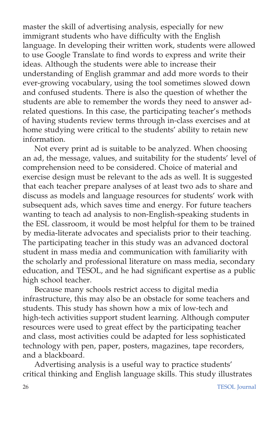master the skill of advertising analysis, especially for new immigrant students who have difficulty with the English language. In developing their written work, students were allowed to use Google Translate to find words to express and write their ideas. Although the students were able to increase their understanding of English grammar and add more words to their ever-growing vocabulary, using the tool sometimes slowed down and confused students. There is also the question of whether the students are able to remember the words they need to answer adrelated questions. In this case, the participating teacher's methods of having students review terms through in-class exercises and at home studying were critical to the students' ability to retain new information.

Not every print ad is suitable to be analyzed. When choosing an ad, the message, values, and suitability for the students' level of comprehension need to be considered. Choice of material and exercise design must be relevant to the ads as well. It is suggested that each teacher prepare analyses of at least two ads to share and discuss as models and language resources for students' work with subsequent ads, which saves time and energy. For future teachers wanting to teach ad analysis to non-English-speaking students in the ESL classroom, it would be most helpful for them to be trained by media-literate advocates and specialists prior to their teaching. The participating teacher in this study was an advanced doctoral student in mass media and communication with familiarity with the scholarly and professional literature on mass media, secondary education, and TESOL, and he had significant expertise as a public high school teacher.

Because many schools restrict access to digital media infrastructure, this may also be an obstacle for some teachers and students. This study has shown how a mix of low-tech and high-tech activities support student learning. Although computer resources were used to great effect by the participating teacher and class, most activities could be adapted for less sophisticated technology with pen, paper, posters, magazines, tape recorders, and a blackboard.

Advertising analysis is a useful way to practice students' critical thinking and English language skills. This study illustrates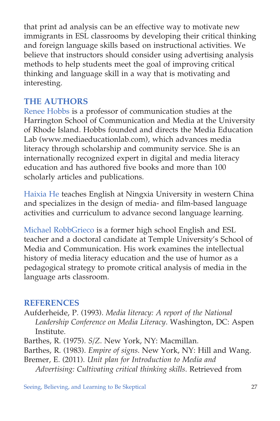that print ad analysis can be an effective way to motivate new immigrants in ESL classrooms by developing their critical thinking and foreign language skills based on instructional activities. We believe that instructors should consider using advertising analysis methods to help students meet the goal of improving critical thinking and language skill in a way that is motivating and interesting.

# THE AUTHORS

Renee Hobbs is a professor of communication studies at the Harrington School of Communication and Media at the University of Rhode Island. Hobbs founded and directs the Media Education Lab (www.mediaeducationlab.com), which advances media literacy through scholarship and community service. She is an internationally recognized expert in digital and media literacy education and has authored five books and more than 100 scholarly articles and publications.

Haixia He teaches English at Ningxia University in western China and specializes in the design of media- and film-based language activities and curriculum to advance second language learning.

Michael RobbGrieco is a former high school English and ESL teacher and a doctoral candidate at Temple University's School of Media and Communication. His work examines the intellectual history of media literacy education and the use of humor as a pedagogical strategy to promote critical analysis of media in the language arts classroom.

# REFERENCES

Aufderheide, P. (1993). Media literacy: A report of the National Leadership Conference on Media Literacy. Washington, DC: Aspen Institute.

Barthes, R. (1975). S/Z. New York, NY: Macmillan.

Barthes, R. (1983). Empire of signs. New York, NY: Hill and Wang.

Bremer, E. (2011). Unit plan for Introduction to Media and

Advertising: Cultivating critical thinking skills. Retrieved from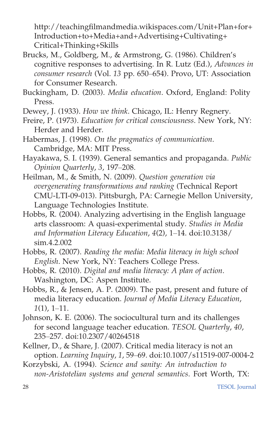http://teachingfilmandmedia.wikispaces.com/Unit+Plan+for+ Introduction+to+Media+and+Advertising+Cultivating+ Critical+Thinking+Skills

- Brucks, M., Goldberg, M., & Armstrong, G. (1986). Children's cognitive responses to advertising. In R. Lutz (Ed.), Advances in consumer research (Vol. 13 pp. 650–654). Provo, UT: Association for Consumer Research.
- Buckingham, D. (2003). Media education. Oxford, England: Polity Press.
- Dewey, J. (1933). How we think. Chicago, IL: Henry Regnery.
- Freire, P. (1973). Education for critical consciousness. New York, NY: Herder and Herder.
- Habermas, J. (1998). On the pragmatics of communication. Cambridge, MA: MIT Press.
- Hayakawa, S. I. (1939). General semantics and propaganda. Public Opinion Quarterly, 3, 197–208.
- Heilman, M., & Smith, N. (2009). Question generation via overgenerating transformations and ranking (Technical Report CMU-LTI-09-013). Pittsburgh, PA: Carnegie Mellon University, Language Technologies Institute.
- Hobbs, R. (2004). Analyzing advertising in the English language arts classroom: A quasi-experimental study. Studies in Media and Information Literacy Education, 4(2), 1–14. doi:10.3138/ sim.4.2.002
- Hobbs, R. (2007). Reading the media: Media literacy in high school English. New York, NY: Teachers College Press.
- Hobbs, R. (2010). Digital and media literacy: A plan of action. Washington, DC: Aspen Institute.
- Hobbs, R., & Jensen, A. P. (2009). The past, present and future of media literacy education. Journal of Media Literacy Education, 1(1), 1–11.
- Johnson, K. E. (2006). The sociocultural turn and its challenges for second language teacher education. TESOL Quarterly, 40, 235–257. doi:10.2307/40264518
- Kellner, D., & Share, J. (2007). Critical media literacy is not an option. Learning Inquiry, 1, 59–69. doi:10.1007/s11519-007-0004-2

Korzybski, A. (1994). Science and sanity: An introduction to non-Aristotelian systems and general semantics. Fort Worth, TX: